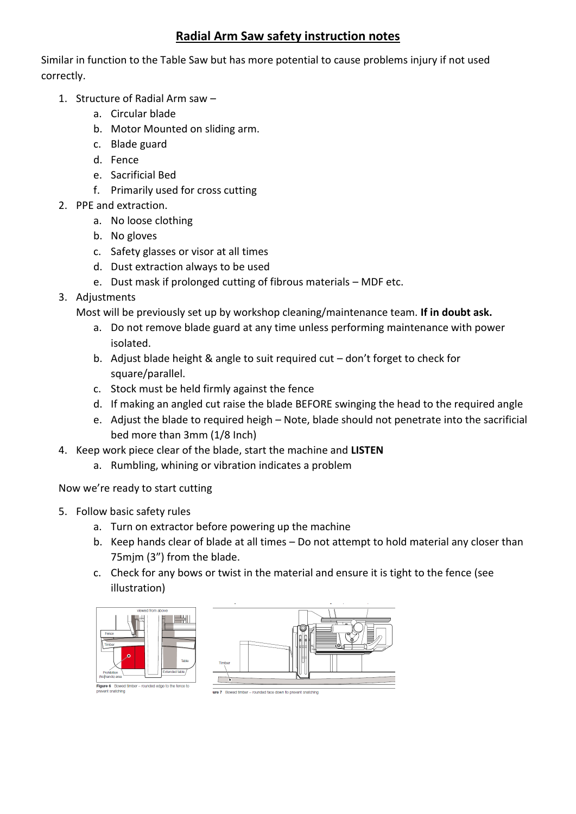## **Radial Arm Saw safety instruction notes**

Similar in function to the Table Saw but has more potential to cause problems injury if not used correctly.

- 1. Structure of Radial Arm saw
	- a. Circular blade
	- b. Motor Mounted on sliding arm.
	- c. Blade guard
	- d. Fence
	- e. Sacrificial Bed
	- f. Primarily used for cross cutting
- 2. PPE and extraction.
	- a. No loose clothing
	- b. No gloves
	- c. Safety glasses or visor at all times
	- d. Dust extraction always to be used
	- e. Dust mask if prolonged cutting of fibrous materials MDF etc.
- 3. Adjustments

Most will be previously set up by workshop cleaning/maintenance team. **If in doubt ask.**

- a. Do not remove blade guard at any time unless performing maintenance with power isolated.
- b. Adjust blade height & angle to suit required cut don't forget to check for square/parallel.
- c. Stock must be held firmly against the fence
- d. If making an angled cut raise the blade BEFORE swinging the head to the required angle
- e. Adjust the blade to required heigh Note, blade should not penetrate into the sacrificial bed more than 3mm (1/8 Inch)
- 4. Keep work piece clear of the blade, start the machine and **LISTEN**
	- a. Rumbling, whining or vibration indicates a problem

Now we're ready to start cutting

- 5. Follow basic safety rules
	- a. Turn on extractor before powering up the machine
	- b. Keep hands clear of blade at all times Do not attempt to hold material any closer than 75mjm (3") from the blade.
	- c. Check for any bows or twist in the material and ensure it is tight to the fence (see illustration)





- rounded face down to prevent snatching